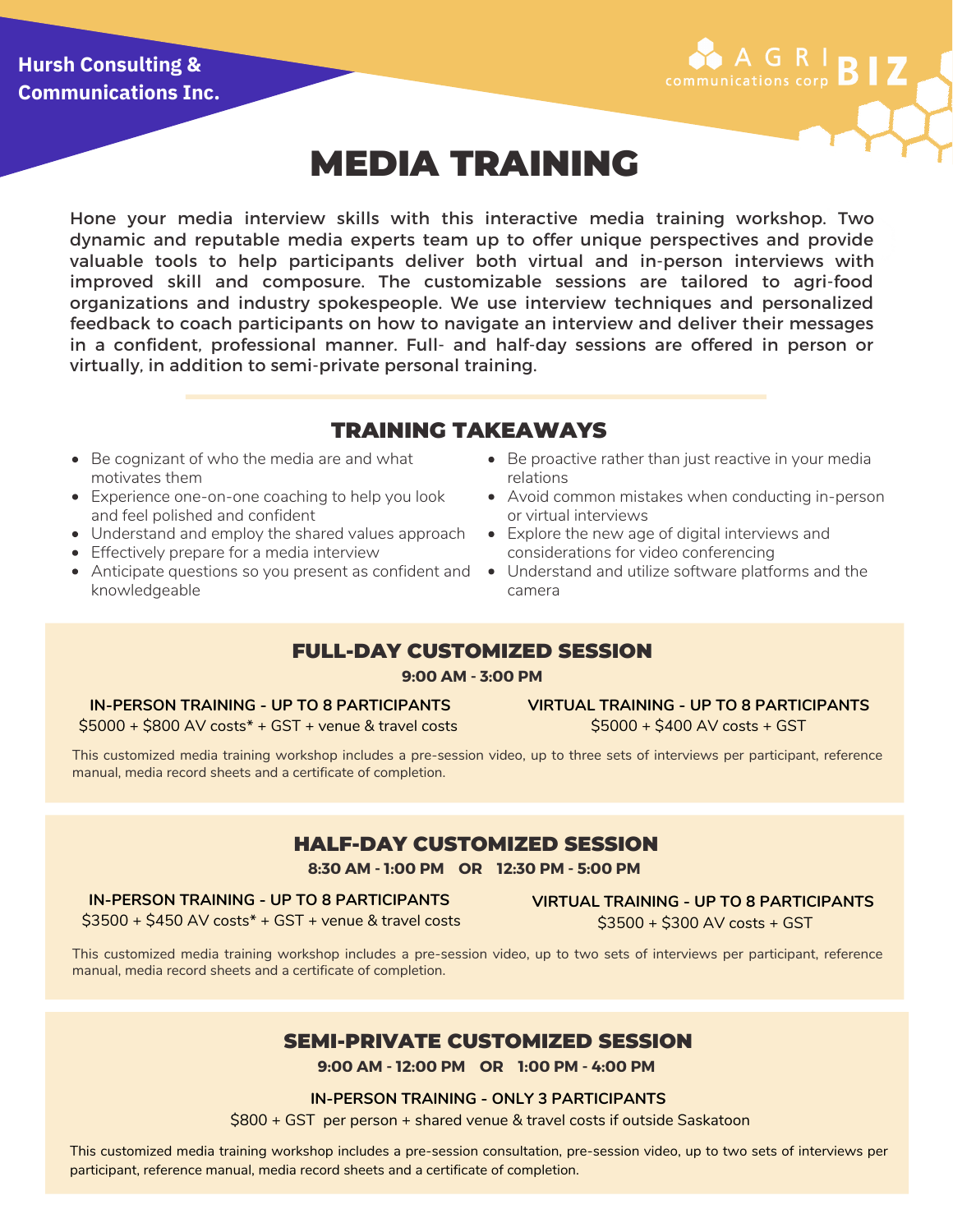## **Hursh Consulting & Communications Inc.**



# MEDIA TRAINING

Hone your media interview skills with this interactive media training workshop. Two dynamic and reputable media experts team up to offer unique perspectives and provide valuable tools to help participants deliver both virtual and in-person interviews with improved skill and composure. The customizable sessions are tailored to agri-food organizations and industry spokespeople. We use interview techniques and personalized feedback to coach participants on how to navigate an interview and deliver their messages in a confident, professional manner. Full- and half-day sessions are offered in person or virtually, in addition to semi-private personal training.

## TRAINING TAKEAWAYS

- Be cognizant of who the media are and what motivates them
- Experience one-on-one coaching to help you look and feel polished and confident
- Understand and employ the shared values approach
- **•** Effectively prepare for a media interview
- knowledgeable
- Be proactive rather than just reactive in your media relations
- Avoid common mistakes when conducting in-person or virtual interviews
- Explore the new age of digital interviews and considerations for video conferencing
- Anticipate questions so you present as confident and  $\quad \bullet \quad$  Understand and utilize software platforms and the camera

## FULL-DAY CUSTOMIZED SESSION

**9:00 AM - 3:00 PM**

#### **IN-PERSON TRAINING - UP TO 8 PARTICIPANTS**

\$5000 + \$800 AV costs\* + GST + venue & travel costs

**VIRTUAL TRAINING - UP TO 8 PARTICIPANTS** \$5000 + \$400 AV costs + GST

This customized media training workshop includes a pre-session video, up to three sets of interviews per participant, reference manual, media record sheets and a certificate of completion.

## HALF-DAY CUSTOMIZED SESSION

**8:30 AM - 1:00 PM OR 12:30 PM - 5:00 PM**

#### **IN-PERSON TRAINING - UP TO 8 PARTICIPANTS**

**VIRTUAL TRAINING - UP TO 8 PARTICIPANTS** \$3500 + \$300 AV costs + GST

\$3500 + \$450 AV costs\* + GST + venue & travel costs

This customized media training workshop includes a pre-session video, up to two sets of interviews per participant, reference manual, media record sheets and a certificate of completion.

## SEMI-PRIVATE CUSTOMIZED SESSION

**9:00 AM - 12:00 PM OR 1:00 PM - 4:00 PM**

#### **IN-PERSON TRAINING - ONLY 3 PARTICIPANTS**

\$800 + GST per person + shared venue & travel costs if outside Saskatoon

This customized media training workshop includes a pre-session consultation, pre-session video, up to two sets of interviews per participant, reference manual, media record sheets and a certificate of completion.